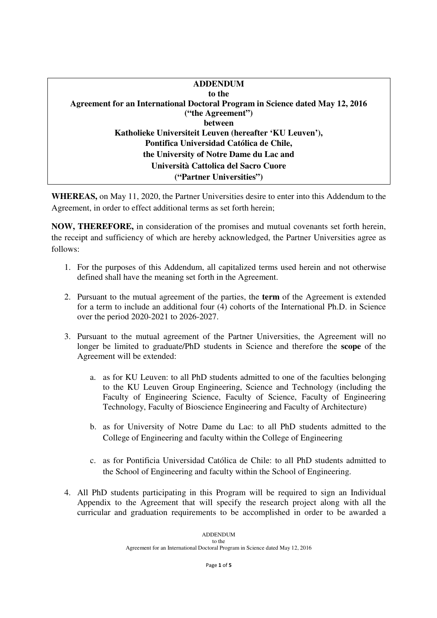| <b>ADDENDUM</b>                                                               |  |
|-------------------------------------------------------------------------------|--|
| to the                                                                        |  |
| Agreement for an International Doctoral Program in Science dated May 12, 2016 |  |
| ("the Agreement")                                                             |  |
| between                                                                       |  |
| Katholieke Universiteit Leuven (hereafter 'KU Leuven'),                       |  |
| Pontifica Universidad Católica de Chile,                                      |  |
| the University of Notre Dame du Lac and                                       |  |
| Università Cattolica del Sacro Cuore                                          |  |
| ("Partner Universities")                                                      |  |
|                                                                               |  |

**WHEREAS,** on May 11, 2020, the Partner Universities desire to enter into this Addendum to the Agreement, in order to effect additional terms as set forth herein;

**NOW, THEREFORE,** in consideration of the promises and mutual covenants set forth herein, the receipt and sufficiency of which are hereby acknowledged, the Partner Universities agree as follows:

- 1. For the purposes of this Addendum, all capitalized terms used herein and not otherwise defined shall have the meaning set forth in the Agreement.
- 2. Pursuant to the mutual agreement of the parties, the **term** of the Agreement is extended for a term to include an additional four (4) cohorts of the International Ph.D. in Science over the period 2020-2021 to 2026-2027.
- 3. Pursuant to the mutual agreement of the Partner Universities, the Agreement will no longer be limited to graduate/PhD students in Science and therefore the **scope** of the Agreement will be extended:
	- a. as for KU Leuven: to all PhD students admitted to one of the faculties belonging to the KU Leuven Group Engineering, Science and Technology (including the Faculty of Engineering Science, Faculty of Science, Faculty of Engineering Technology, Faculty of Bioscience Engineering and Faculty of Architecture)
	- b. as for University of Notre Dame du Lac: to all PhD students admitted to the College of Engineering and faculty within the College of Engineering
	- c. as for Pontificia Universidad Católica de Chile: to all PhD students admitted to the School of Engineering and faculty within the School of Engineering.
- 4. All PhD students participating in this Program will be required to sign an Individual Appendix to the Agreement that will specify the research project along with all the curricular and graduation requirements to be accomplished in order to be awarded a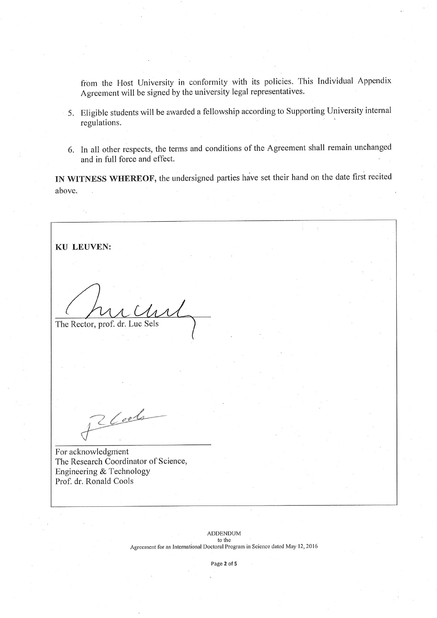from the Host University in conformity with its policies. This Individual Appendix Agreement will be signed by the university legal representatives.

- 5. Eligible students will be awarded a fellowship according to Supporting University internal regulations.
- 6. In all other respects, the terms and conditions of the Agreement shall remain unchanged and in full force and effect.

IN WITNESS WHEREOF, the undersigned parties have set their hand on the date first recited above.

**KU LEUVEN:** The Rector, prof. dr. Luc Sels  $2$  Cools For acknowledgment

The Research Coordinator of Science, Engineering & Technology Prof. dr. Ronald Cools

> **ADDENDUM** to the Agreement for an International Doctoral Program in Science dated May 12, 2016

> > Page 2 of 5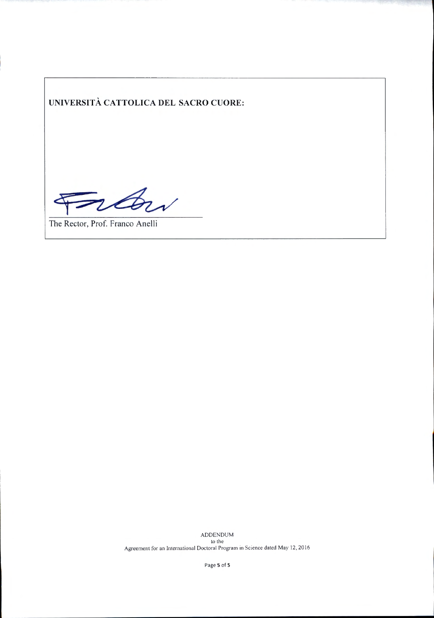**UNIVERSITÀ CATTOLICA DEL SACRO CUORE:** 

raw

The Rector, Prof. Franco Anelli

ADDENDUM to the Agreement for an lnternational Doctoral Program in Science dated May 12, 20 16

Page **5** of **5**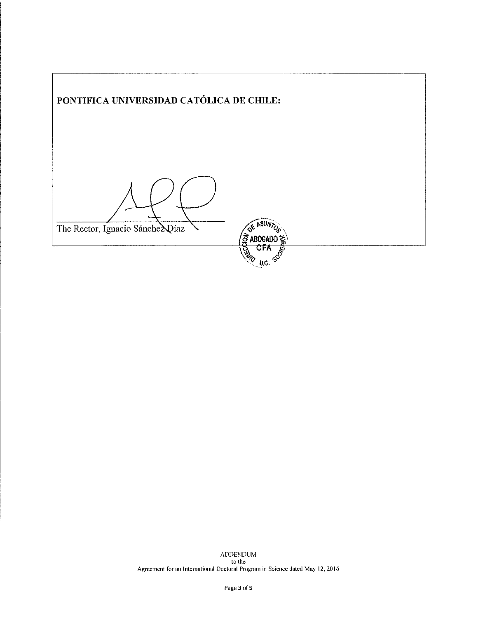| PONTIFICA UNIVERSIDAD CATÓLICA DE CHILE: |                       |  |
|------------------------------------------|-----------------------|--|
|                                          |                       |  |
| The Rector, Ignacio Sánche ADíaz         | <u>ន្ត្</u><br>ABOGAD |  |
|                                          | $\frac{1}{2}$<br>U,C. |  |

 $\sqrt{ }$